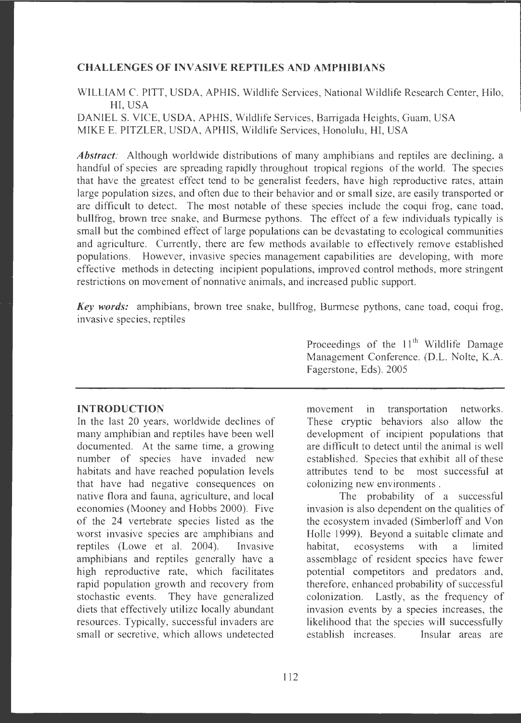### **CHALLENGES OF INVASIVE REPTILES AND AMPHIBIANS**

WILLIAM C. PITT, USDA, APHIS, Wildlife Services, National Wildlife Research Center, Hilo, HI, USA

DANIEL S. VICE, USDA, APHIS, Wildlife Services, Barrigada Heights, Guam, USA MIKE E. PITZLER, USDA, APHIS, Wildlife Services, Honolulu, HI, USA

*Abstract:* Although worldwide distributions of many amphibians and reptiles are declining, a handful of species are spreading rapidly throughout tropical regions of the world. The species that have the greatest effect tend to be generalist feeders, have high reproductive rates, attain large population sizes, and often due to their behavior and or small size, are easily transported or are difficult to detect. The most notable of these species include the coqui frog, cane toad, bullfrog, brown tree snake, and Burmese pythons. The effect of a few individuals typically is small but the combined effect of large populations can be devastating to ecological communities and agriculture. Currently, there are few methods available to effectively remove established populations. However, invasive species management capabilities are developing, with more effective methods in detecting incipient populations, improved control methods, more stringent restrictions on movement of nonnative animals, and increased public support.

**Key words:** amphibians, brown tree snake, bullfrog, Burmese pythons, cane toad, coqui frog, invasive species, reptiles

### **INTRODUCTION**

In the last 20 years, worldwide declines of many amphibian and reptiles have been well documented. At the same time, a growing number of species have invaded new habitats and have reached population levels that have had negative consequences on native flora and fauna, agriculture, and local economies (Mooney and Hobbs 2000). Five of the 24 vertebrate species listed as the worst invasive species are amphibians and reptiles (Lowe et al. 2004). Invasive amphibians and reptiles generally have a high reproductive rate, which facilitates rapid population growth and recovery from stochastic events. They have generalized diets that effectively utilize locally abundant resources. Typically, successful invaders are small or secretive, which allows undetected

Proceedings of the  $11<sup>th</sup>$  Wildlife Damage Management Conference. (D.L. Nolte, K.A. Fagerstone, Eds). 2005

movement in transportation networks. These cryptic behaviors also allow the development of incipient populations that are difficult to detect until the animal is well established. Species that exhibit all of these attributes tend to be most successful at colonizing new environments .

The probability of a successful invasion is also dependent on the qualities of the ecosystem invaded (Simberloff and Von Holle 1999). Beyond a suitable climate and habitat, ecosystems with a limited assemblage of resident species have fewer potential competitors and predators and, therefore, enhanced probability of successful colonization. Lastly, as the frequency of invasion events by a species increases, the likelihood that the species will successfully establish increases. Insular areas are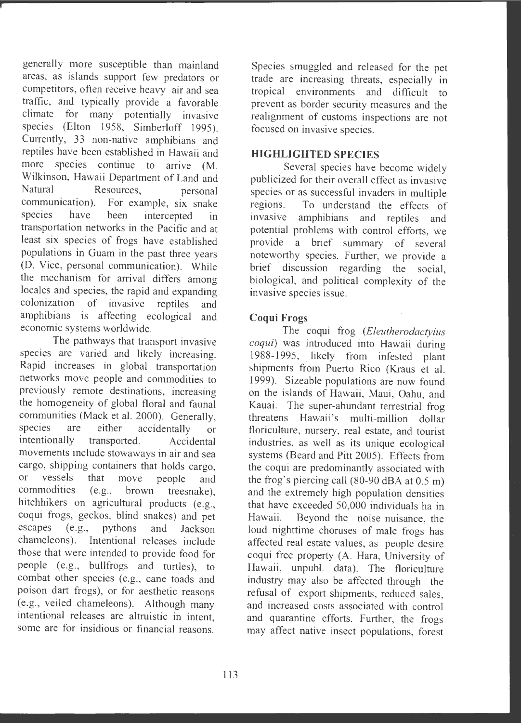generally more susceptible than mainland areas, as islands support few predators or competitors, often receive heavy air and sea traffic, and typically provide a favorable climate for many potentially invasive species (Elton 1958, Simberloff 1995). Currently, 33 non-native amphibians and reptiles have been established in Hawaii and more species continue to arrive (M. Wilkinson, Hawaii Department of Land and<br>Natural Resources. personal Resources, personal communication). For example, six snake species have been intercepted in transportation networks in the Pacific and at least six species of frogs have established populations in Guam in the past three years (D. Vice, personal communication). While the mechanism for arrival differs among locales and species, the rapid and expanding colonization of invasive reptiles and amphibians is affecting ecological and economic systems worldwide.

The pathways that transport invasive species are varied and likely increasing. Rapid increases in global transportation networks move people and commodities to previously remote destinations, increasing the homogeneity of global floral and faunal communities (Mack et al. 2000). Generally,<br>species are either accidentally or species are either accidentally or<br>intentionally transported. Accidental transported. Accidental movements include stowaways in air and sea cargo, shipping containers that holds cargo,<br>or vessels that move people and or vessels that move people and<br>commodities (e.g., brown treesnake)  $(e.g., brown trees make)$ . hitchhikers on agricultural products (e.g., coqui frogs, geckos, blind snakes) and pet<br>escanes (e.g., pythons, and Jackson  $(e.g.,$  pythons and Jackson chameleons). Intentional releases include those that were intended to provide food for people (e.g. , bullfrogs and turtles), to combat other species (e.g., cane toads and poison dart frogs), or for aesthetic reasons (e.g., veiled chameleons). Although many intentional releases are altruistic in intent, some are for insidious or financial reasons.

Species smuggled and released for the pet trade are increasing threats, especially in tropical environments and difficult to prevent as border security measures and the realignment of customs inspections are not focused on invasive species.

# **HIGHLIGHTED SPECIES**

Several species have become widely publicized for their overall effect as invasive species or as successful invaders in multiple<br>regions. To understand the effects of To understand the effects of invasive amphibians and reptiles and potential problems with control efforts, we provide a brief summary of several noteworthy species. Further, we provide a brief discussion regarding the social, biological, and political complexity of the invasive species issue.

# **Coqui Frogs**

The coqui frog *(Eleutherodactylus coqui)* was introduced into Hawaii during 1988-1995, likely from infested plant shipments from Puerto Rico (Kraus et al. 1999). Sizeable populations are now found on the islands of Hawaii, Maui, Oahu, and Kauai. The super-abundant terrestrial frog threatens Hawaii's multi-million dollar floriculture, nursery, real estate, and tourist industries, as well as its unique ecological systems (Beard and Pitt 2005). Effects from the coqui are predominantly associated with the frog's piercing call (80-90 dBA at 0.5 m) and the extremely high population densities that have exceeded 50,000 individuals ha in Hawaii. Beyond the noise nuisance, the loud nighttime choruses of male frogs has affected real estate values, as people desire coqui free property (A. Hara, University of Hawaii, unpubl. data). The floriculture industry may also be affected through the refusal of export shipments, reduced sales, and increased costs associated with control and quarantine efforts. Further, the frogs may affect native insect populations, forest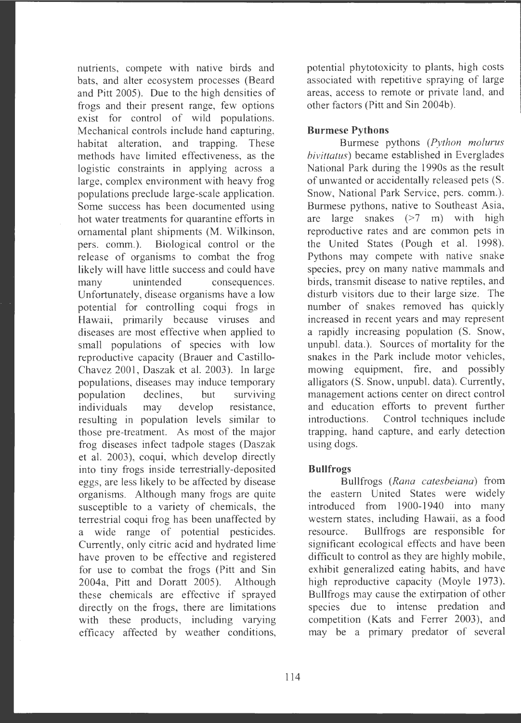nutrients, compete with native birds and bats, and alter ecosystem processes (Beard and Pitt 2005). Due to the high densities of frogs and their present range, few options exist for control of wild populations. Mechanical controls include hand capturing, habitat alteration, and trapping. These methods have limited effectiveness, as the logistic constraints in applying across a large, complex environment with heavy frog populations preclude large-scale application. Some success has been documented using hot water treatments for quarantine efforts in ornamental plant shipments (M. Wilkinson, pers. comm.). Biological control or the release of organisms to combat the frog likely will have little success and could have many unintended consequences. Unfortunately, disease organisms have a low potential for controlling coqui frogs in Hawaii, primarily because viruses and diseases are most effective when applied to small populations of species with low reproductive capacity (Brauer and Castillo-Chavez 2001, Daszak et al. 2003). In large populations, diseases may induce temporary population declines, but surviving individuals may develop resistance, resulting in population levels similar to those pre-treatment. As most of the major frog diseases infect tadpole stages (Daszak et al. 2003), coqui, which develop directly into tiny frogs inside terrestrially-deposited eggs, are less likely to be affected by disease organisms. Although many frogs are quite susceptible to a variety of chemicals, the terrestrial coqui frog has been unaffected by a wide range of potential pesticides. Currently, only citric acid and hydrated lime have proven to be effective and registered for use to combat the frogs (Pitt and Sin 2004a, Pitt and Doratt 2005). Although these chemicals are effective if sprayed directly on the frogs, there are limitations with these products, including varying efficacy affected by weather conditions,

potential phytotoxicity to plants, high costs associated with repetitive spraying of large areas, access to remote or private land, and other factors (Pitt and Sin 2004b).

#### **Burmese Pythons**

Burmese pythons (Python molurus *bivittatus)* became established in Everglades National Park during the 1990s as the result of unwanted or accidentally released pets (S. Snow, National Park Service, pers. comm.). Burmese pythons, native to Southeast Asia, are large snakes  $(>7 \text{ m})$  with high reproductive rates and are common pets in the United States (Pough et al. 1998). Pythons may compete with native snake species, prey on many native mammals and birds, transmit disease to native reptiles, and disturb visitors due to their large size. The number of snakes removed has quickly increased in recent years and may represent a rapidly increasing population (S. Snow, unpubl. data.). Sources of mortality for the snakes in the Park include motor vehicles, mowing equipment, fire, and possibly alligators (S. Snow, unpubl. data). Currently, management actions center on direct control and education efforts to prevent further introductions. Control techniques include trapping, hand capture, and early detection using dogs.

### **Bullfrogs**

Bullfrogs *(Rana catesbeiana)* from the eastern United States were widely introduced from 1900-1940 into many western states, including Hawaii, as a food resource. Bullfrogs are responsible for significant ecological effects and have been difficult to control as they are highly mobile, exhibit generalized eating habits, and have high reproductive capacity (Moyle 1973). Bullfrogs may cause the extirpation of other species due to intense predation and competition (Kats and Ferrer 2003), and may be a primary predator of several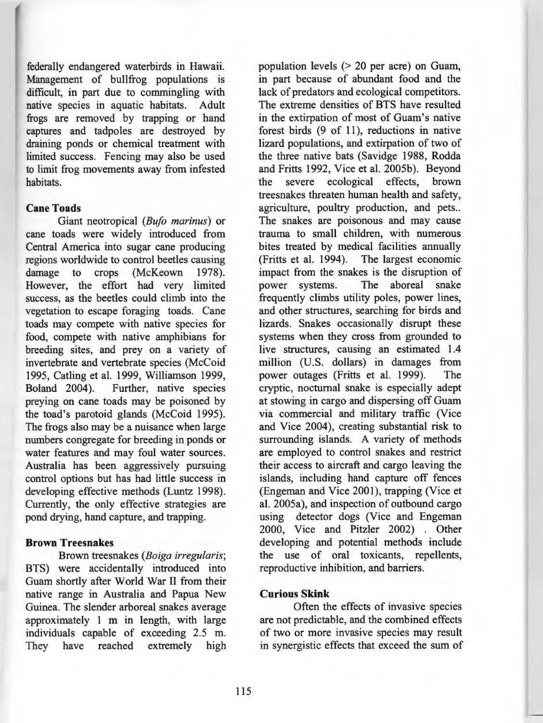federally endangered waterbirds in Hawaii. Management of bullfrog populations is difficult, in part due to commingling with native species in aquatic habitats. Adult frogs are removed by trapping or hand captures and tadpoles are destroyed by draining ponds or chemical treatment with limited success. Fencing may also be used to limit frog movements away from infested habitats.

#### **Cane Toads**

Giant neotropical *(Bufo marinus)* or cane toads were widely introduced from Central America into sugar cane producing regions worldwide to control beetles causing<br>damage to crops (McKeown 1978). crops (McKeown 1978). However, the effort had very limited success, as the beetles could climb into the vegetation to escape foraging toads. Cane toads may compete with native species for food, compete with native amphibians for breeding sites, and prey on a variety of invertebrate and vertebrate species (McCoid 1995, Catling et al. 1999, Williamson 1999,<br>Boland 2004). Further, native species Further, native species preying on cane toads may be poisoned by the toad's parotoid glands (McCoid 1995). The frogs also may be a nuisance when large numbers congregate for breeding in ponds or water features and may foul water sources. Australia has been aggressively pursuing control options but has had little success in developing effective methods (Luntz 1998). Currently, the only effective strategies are pond drying, hand capture, and trapping.

#### **Brown Treesnakes**

Brown treesnakes *(Boiga irregularis;*  BTS) were accidentally introduced into Guam shortly after World War II from their native range in Australia and Papua New Guinea. The slender arboreal snakes average approximately 1 m in length, with large individuals capable of exceeding 2.5 m. They have reached extremely high population levels (> 20 per acre) on Guam, in part because of abundant food and the lack of predators and ecological competitors. The extreme densities of BTS have resulted in the extirpation of most of Guam's native forest birds (9 of 11), reductions in native lizard populations, and extirpation of two of the three native bats (Savidge 1988, Rodda and Fritts 1992, Vice et al. 2005b). Beyond the severe ecological effects, brown treesnakes threaten human health and safety, agriculture, poultry production, and pets.. The snakes are poisonous and may cause trauma to small children, with numerous bites treated by medical facilities annually (Fritts et al. 1994). The largest economic impact from the snakes is the disruption of power systems. The aboreal snake frequently climbs utility poles, power lines, and other structures, searching for birds and lizards. Snakes occasionally disrupt these systems when they cross from grounded to live structures, causing an estimated 1.4 million (U.S. dollars) in damages from power outages (Fritts et al. 1999). The cryptic, nocturnal snake is especially adept at stowing in cargo and dispersing off Guam via commercial and military traffic (Vice and Vice 2004), creating substantial risk to surrounding islands. A variety of methods are employed to control snakes and restrict their access to aircraft and cargo leaving the islands, including hand capture off fences (Engeman and Vice 2001), trapping (Vice et al. 2005a), and inspection of outbound cargo using detector dogs (Vice and Engeman 2000, Vice and Pitzler 2002) . Other developing and potential methods include the use of oral toxicants, repellents, reproductive inhibition, and barriers.

# **Curious Skink**

Often the effects of invasive species are not predictable, and the combined effects of two or more invasive species may result in synergistic effects that exceed the sum of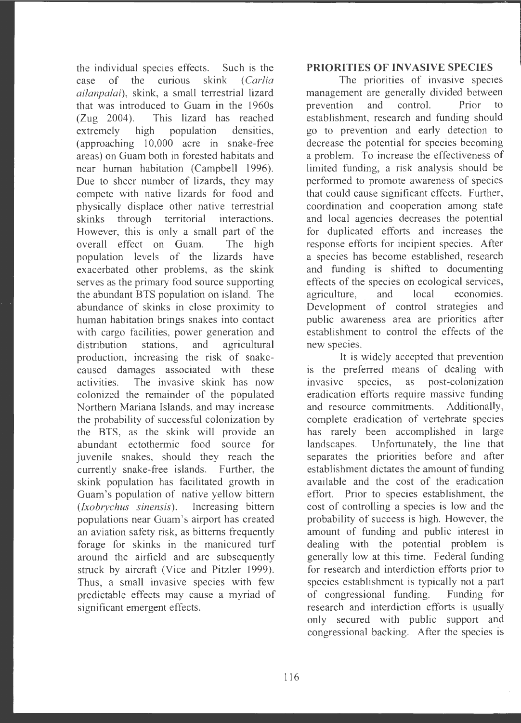the individual species effects. Such is the case of the curious skink (*Carlia ailanpalai) ,* skink , a small terrestrial lizard that was introduced to Guam in the 1960s (Zug 2004) . This lizard has reached extremely high population densities, (approaching 10,000 acre in snake-free areas) on Guam both in forested habitats and near human habitation (Campbell 1996). Due to sheer number of lizards, they may compete with native lizards for food and physically displace other native terrestrial skinks through territorial interactions. However, this is only a small part of the overall effect on Guam. The high population levels of the lizards have exacerbated other problems, as the skink serves as the primary food source supporting the abundant BTS population on island. The abundance of skinks in close proximity to human habitation brings snakes into contact with cargo facilities, power generation and distribution stations, and agricultural production, increasing the risk of snakecaused damages associated with these activities. The invasive skink has now colonized the remainder of the populated Northern Mariana Islands, and may increase the probability of successful colonization by the BTS, as the skink will provide an abundant ectothermic food source for juvenile snakes, should they reach the currently snake-free islands. Further, the skink population has facilitated growth in Guam 's population of native yellow bittern *(lxobrychus sinensis).* Increasing bittern populations near Guam 's airport has created an aviation safety risk, as bitterns frequently forage for skinks in the manicured turf around the airfield and are subsequently struck by aircraft (Vice and Pitzler 1999). Thus, a small invasive species with few predictable effects may cause a myriad of significant emergent effects.

#### **PRIORITIES OF INVASIVE SPECIES**

The priorities of invasive species management are generally divided between prevention and control. Prior to establishment, research and funding should go to prevention and early detection to decrease the potential for species becoming a problem. To increase the effectiveness of limited funding, a risk analysis should be performed to promote awareness of species that could cause significant effects. Further, coordination and cooperation among state and local agencies decreases the potential for duplicated efforts and increases the response efforts for incipient species. After a species has become established, research and funding is shifted to documenting effects of the species on ecological services, agriculture, and local economies. Development of control strategies and public awareness area are priorities after establishment to control the effects of the new species.

It is widely accepted that prevention is the preferred means of dealing with invasive species, as post-colonization eradication efforts require massive funding and resource commitments. Additionally, complete eradication of vertebrate species has rarely been accomplished in large landscapes. Unfortunately, the line that separates the priorities before and after establishment dictates the amount of funding available and the cost of the eradication effort. Prior to species establishment, the cost of controlling a species is low and the probability of success is high. However, the amount of funding and public interest in dealing with the potential problem is generally low at this time. Federal funding for research and interdiction efforts prior to species establishment is typically not a part of congressional funding . Funding for research and interdiction efforts is usually only secured with public support and congressional backing. After the species is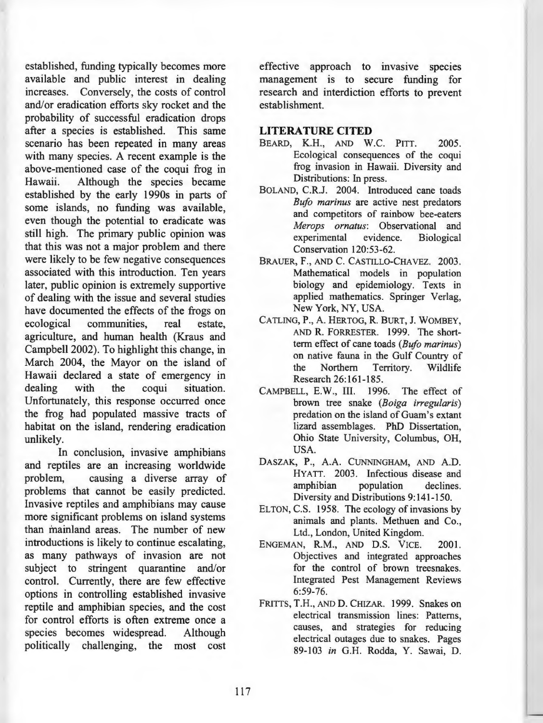established, funding typically becomes more available and public interest in dealing increases. Conversely, the costs of control and/or eradication efforts sky rocket and the probability of successful eradication drops after a species is established. This same scenario has been repeated in many areas with many species. A recent example is the above-mentioned case of the coqui frog in Hawaii. Although the species became established by the early 1990s in parts of some islands, no funding was available, even though the potential to eradicate was still high. The primary public opinion was that this was not a major problem and there were likely to be few negative consequences associated with this introduction. Ten years later, public opinion is extremely supportive of dealing with the issue and several studies have documented the effects of the frogs on ecological communities, real estate, agriculture, and human health (Kraus and Campbell 2002). To highlight this change, in March 2004, the Mayor on the island of Hawaii declared a state of emergency in dealing with the coqui situation. Unfortunately, this response occurred once the frog had populated massive tracts of habitat on the island, rendering eradication **unlikely.** 

In conclusion, invasive amphibians and reptiles are an increasing worldwide problem, causing a diverse array of problems that cannot be easily predicted. Invasive reptiles and amphibians may cause more significant problems on island systems than mainland areas. The number of new introductions is likely to continue escalating, as many pathways of invasion are not subject to stringent quarantine and/or control. Currently, there are few effective options in controlling established invasive reptile and amphibian species, and the cost for control efforts is often extreme once a species becomes widespread. Although politically challenging, the most cost

effective approach to invasive species management is to secure funding for research and interdiction efforts to prevent establishment.

# **LITERATURE CITED**

- BEARD, **K.H.,** AND W.C. PITT. 2005. Ecological consequences of the coqui frog invasion in Hawaii. Diversity and Distributions: In press.
- BOLAND, C.R.J. 2004. Introduced cane toads *Bufo marinus* are active nest predators and competitors of rainbow bee-eaters *Merops ornatus:* Observational and experimental evidence. Biological Conservation 120:53-62.
- BRAUER, F., AND C. CASTILLO-CHAVEZ. 2003. Mathematical models in population biology and epidemiology. Texts in applied mathematics. Springer Verlag, New York, NY, USA.
- CATLING, **P., A.** HERTOG, **R.** BURT, J. WOMBEY, AND **R.** FORRESTER. 1999. The shortterm effect of cane toads *(Bufo marinus)*  on native fauna in the Gulf Country of the Northern Territory. Wildlife Research 26:161-185.
- CAMPBELL, E.W., III. 1996. The effect of brown tree snake *(Boiga irregularis)*  predation on the island of Guam's extant lizard assemblages. PhD Dissertation, Ohio State University, Columbus, OH, USA.
- DASZAK, P., A.A. CUNNINGHAM, AND A.D. HYATT. 2003. Infectious disease and amphibian population declines. Diversity and Distributions 9: 141-150.
- ELTON, C.S. 1958. The ecology of invasions by animals and plants. Methuen and Co., Ltd., London, United Kingdom.
- ENGEMAN, **R.M .,** AND D.S. VICE. 2001. Objectives and integrated approaches for the control of brown treesnakes. Integrated Pest Management Reviews 6:59-76.
- FRITTS, T.H., AND D. CHIZAR. 1999. Snakes on electrical transmission lines: Patterns, causes, and strategies for reducing electrical outages due to snakes. Pages 89-103 *in* G.H. Rodda, Y. Sawai, D.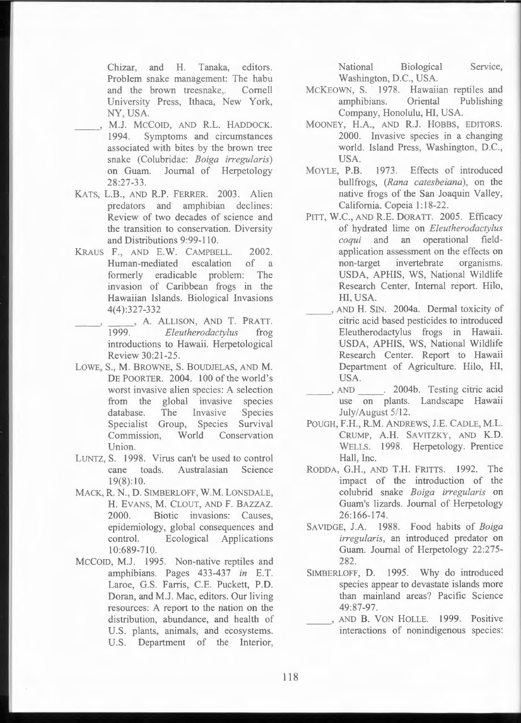Chizar, and H. Tanaka, editors. Problem snake management: The habu and the brown treesnake,. Cornell University Press, Ithaca, New York, NY, USA.

- $\overline{\phantom{a}}$ M.J. MCCOID, AND R.L. HADDOCK. 1994. Symptoms and circumstances associated with bites by the brown tree snake (Colubridae: *Boiga irregularis*) on Guam. Journal of Herpetology 28:27-33 .
- KATS, L.B., AND R.P. FERRER. 2003. Alien predators and amphibian declines: Review of two decades of science and the transition to conservation. Diversity and Distributions 9:99-110.
- KRAUS F., AND E.W. CAMPBELL. 2002. Human-mediated escalation of a formerly eradicable problem: The invasion of Caribbean frogs in the Hawaiian Islands. Biological Invasions 4(4):327-332
- --' , A. ALLISON, AND T. PRATT. 1999. *Efeutherodactylus* frog introductions to Hawaii. Herpetological Review 30:21-25 .
- LOWE, S., **M.** BROWNE, S. BOUDJELAS, AND **M .**  DE POORTER. 2004. 100 of the world's worst invasive alien species: A selection from the global invasive species database. The Invasive Species Specialist Group, Species Survival Commission. World Conservation Union.
- LUNTZ, S. 1998. Virus can't be used to control cane toads . Australasian Science  $19(8):10.$
- MACK, **R. N. , D.** SIMBERLOFF, **W.M.** LONSDALE, **H.** EVANS, **M .** CLOUT, AND F. BAZZAZ. 2000. Biotic invasions: Causes, epidemiology, global consequences and control. Ecological Applications 10:689-710.
- MCCOID, M.J. 1995. Non-native reptiles and amphibians. Pages 433-437 *in* E.T. Laroe, G.S. Farris, C.E. Puckett, P.D. Doran, and M.J. Mac, editors. Our living resources: A report to the nation on the distribution, abundance, and health of U.S. plants, animals, and ecosystems. U.S. Department of the Interior,

National Biological Service, Washington, D.C., USA.

- MCKEOWN, S. 1978. Hawaiian reptiles and amphibians . Oriental Publishing Company, Honolulu, HI, USA.
- MOONEY, H.A., AND R.J. HOBBS, EDITORS. 2000. Invasive species in a changing world. Island Press, Washington, D.C., USA.
- MOYLE, P.B. 1973. Effects of introduced bullfrogs, *(Rana catesbeiana)*, on the native frogs of the San Joaquin Valley, California. Copeia 1: 18-22.
- PITT, W.C., AND R.E. DORATT. 2005. Efficacy of hydrated lime on *Eleutherodactylus coqui* and an operational fieldapplication assessment on the effects on non-target invertebrate organisms. USDA, APHIS, WS, National Wildlife Research Center, Internal report. Hilo, HI, USA.
	- AND H. SIN. 2004a. Dermal toxicity of citric acid based pesticides to introduced Eleutherodactylus frogs in Hawaii. USDA, APHIS, WS, National Wildlife Research Center. Report to Hawaii Department of Agriculture. Hilo, HI, USA.
- AND \_\_\_\_\_. 2004b. Testing citric acid use on plants. Landscape Hawaii July/August 5/12.
- POUGH, F.H., **R.M.** ANDREWS, J.E. CADLE, M.L. CRUMP, A.H. SAVITZKY, AND K.D. WELLS. 1998. Herpetology. Prentice Hall, Inc.
- RODDA, G.H., AND T.H. FRITTS. 1992. The impact of the introduction of the colubrid snake *Boiga irregularis* on Guam's lizards. Journal of Herpetology 26: 166-174.
- SAVIDGE, J.A. 1988. Food habits of *Boiga irregularis,* an introduced predator on Guam. Journal of Herpetology 22:275- 282.
- SIMBERLOFF, D. 1995. Why do introduced species appear to devastate islands more than mainland areas? Pacific Science 49:87-97.
- AND B. VON HOLLE. 1999. Positive interactions of nonindigenous species: